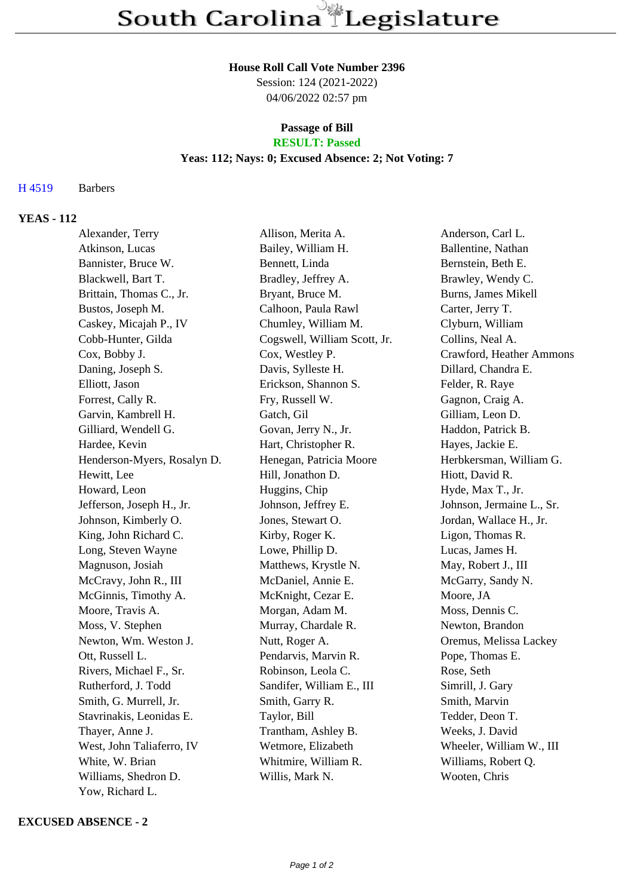#### **House Roll Call Vote Number 2396**

Session: 124 (2021-2022) 04/06/2022 02:57 pm

#### **Passage of Bill RESULT: Passed**

## **Yeas: 112; Nays: 0; Excused Absence: 2; Not Voting: 7**

### H 4519 Barbers

# **YEAS - 112**

| Alexander, Terry            | Allison, Merita A.           | Anderson, Carl L.          |
|-----------------------------|------------------------------|----------------------------|
| Atkinson, Lucas             | Bailey, William H.           | Ballentine, Nathan         |
| Bannister, Bruce W.         | Bennett, Linda               | Bernstein, Beth E.         |
| Blackwell, Bart T.          | Bradley, Jeffrey A.          | Brawley, Wendy C.          |
| Brittain, Thomas C., Jr.    | Bryant, Bruce M.             | <b>Burns, James Mikell</b> |
| Bustos, Joseph M.           | Calhoon, Paula Rawl          | Carter, Jerry T.           |
| Caskey, Micajah P., IV      | Chumley, William M.          | Clyburn, William           |
| Cobb-Hunter, Gilda          | Cogswell, William Scott, Jr. | Collins, Neal A.           |
| Cox, Bobby J.               | Cox, Westley P.              | Crawford, Heather Ammons   |
| Daning, Joseph S.           | Davis, Sylleste H.           | Dillard, Chandra E.        |
| Elliott, Jason              | Erickson, Shannon S.         | Felder, R. Raye            |
| Forrest, Cally R.           | Fry, Russell W.              | Gagnon, Craig A.           |
| Garvin, Kambrell H.         | Gatch, Gil                   | Gilliam, Leon D.           |
| Gilliard, Wendell G.        | Govan, Jerry N., Jr.         | Haddon, Patrick B.         |
| Hardee, Kevin               | Hart, Christopher R.         | Hayes, Jackie E.           |
| Henderson-Myers, Rosalyn D. | Henegan, Patricia Moore      | Herbkersman, William G.    |
| Hewitt, Lee                 | Hill, Jonathon D.            | Hiott, David R.            |
| Howard, Leon                | Huggins, Chip                | Hyde, Max T., Jr.          |
| Jefferson, Joseph H., Jr.   | Johnson, Jeffrey E.          | Johnson, Jermaine L., Sr.  |
| Johnson, Kimberly O.        | Jones, Stewart O.            | Jordan, Wallace H., Jr.    |
| King, John Richard C.       | Kirby, Roger K.              | Ligon, Thomas R.           |
| Long, Steven Wayne          | Lowe, Phillip D.             | Lucas, James H.            |
| Magnuson, Josiah            | Matthews, Krystle N.         | May, Robert J., III        |
| McCravy, John R., III       | McDaniel, Annie E.           | McGarry, Sandy N.          |
| McGinnis, Timothy A.        | McKnight, Cezar E.           | Moore, JA                  |
| Moore, Travis A.            | Morgan, Adam M.              | Moss, Dennis C.            |
| Moss, V. Stephen            | Murray, Chardale R.          | Newton, Brandon            |
| Newton, Wm. Weston J.       | Nutt, Roger A.               | Oremus, Melissa Lackey     |
| Ott, Russell L.             | Pendarvis, Marvin R.         | Pope, Thomas E.            |
| Rivers, Michael F., Sr.     | Robinson, Leola C.           | Rose, Seth                 |
| Rutherford, J. Todd         | Sandifer, William E., III    | Simrill, J. Gary           |
| Smith, G. Murrell, Jr.      | Smith, Garry R.              | Smith, Marvin              |
| Stavrinakis, Leonidas E.    | Taylor, Bill                 | Tedder, Deon T.            |
| Thayer, Anne J.             | Trantham, Ashley B.          | Weeks, J. David            |
| West, John Taliaferro, IV   | Wetmore, Elizabeth           | Wheeler, William W., III   |
| White, W. Brian             | Whitmire, William R.         | Williams, Robert Q.        |
| Williams, Shedron D.        | Willis, Mark N.              | Wooten, Chris              |
| Yow, Richard L.             |                              |                            |

### **EXCUSED ABSENCE - 2**